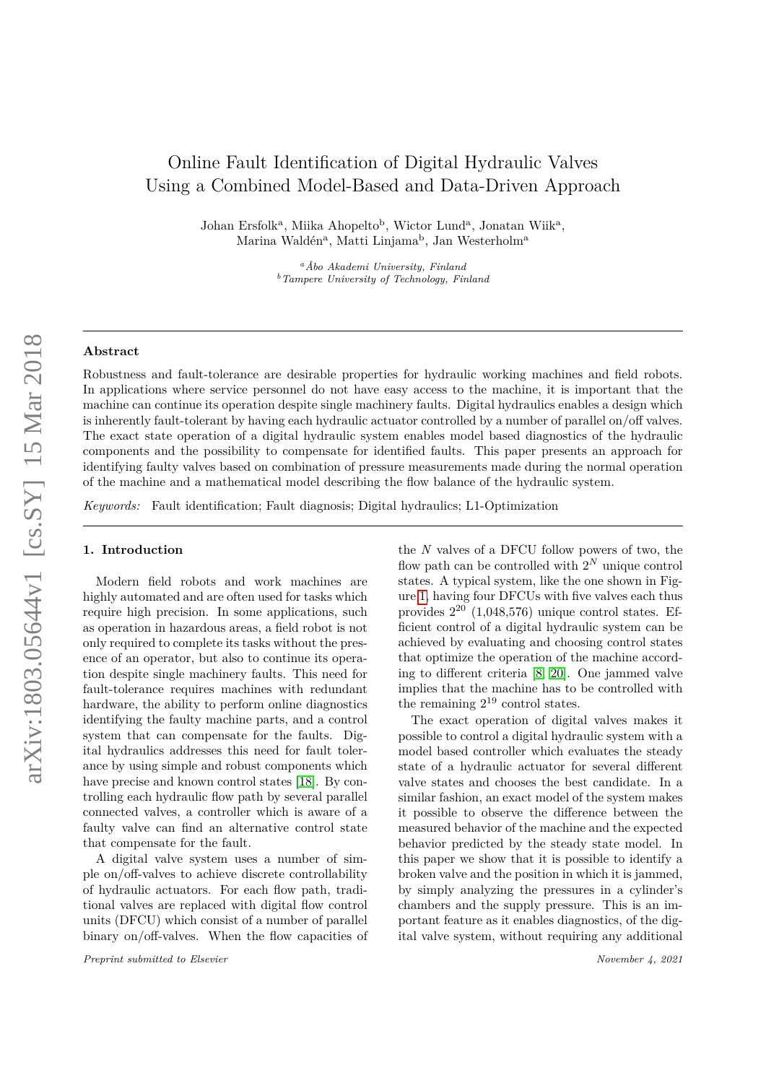# Online Fault Identification of Digital Hydraulic Valves Using a Combined Model-Based and Data-Driven Approach

Johan Ersfolk<sup>a</sup>, Miika Ahopelto<sup>b</sup>, Wictor Lund<sup>a</sup>, Jonatan Wiik<sup>a</sup>, Marina Waldén<sup>a</sup>, Matti Linjama<sup>b</sup>, Jan Westerholm<sup>a</sup>

> *<sup>a</sup>Åbo Akademi University, Finland <sup>b</sup>Tampere University of Technology, Finland*

## **Abstract**

Robustness and fault-tolerance are desirable properties for hydraulic working machines and field robots. In applications where service personnel do not have easy access to the machine, it is important that the machine can continue its operation despite single machinery faults. Digital hydraulics enables a design which is inherently fault-tolerant by having each hydraulic actuator controlled by a number of parallel on/off valves. The exact state operation of a digital hydraulic system enables model based diagnostics of the hydraulic components and the possibility to compensate for identified faults. This paper presents an approach for identifying faulty valves based on combination of pressure measurements made during the normal operation of the machine and a mathematical model describing the flow balance of the hydraulic system.

*Keywords:* Fault identification; Fault diagnosis; Digital hydraulics; L1-Optimization

#### **1. Introduction**

Modern field robots and work machines are highly automated and are often used for tasks which require high precision. In some applications, such as operation in hazardous areas, a field robot is not only required to complete its tasks without the presence of an operator, but also to continue its operation despite single machinery faults. This need for fault-tolerance requires machines with redundant hardware, the ability to perform online diagnostics identifying the faulty machine parts, and a control system that can compensate for the faults. Digital hydraulics addresses this need for fault tolerance by using simple and robust components which have precise and known control states [\[18\]](#page-8-0). By controlling each hydraulic flow path by several parallel connected valves, a controller which is aware of a faulty valve can find an alternative control state that compensate for the fault.

A digital valve system uses a number of simple on/off-valves to achieve discrete controllability of hydraulic actuators. For each flow path, traditional valves are replaced with digital flow control units (DFCU) which consist of a number of parallel binary on/off-valves. When the flow capacities of

*Preprint submitted to Elsevier November 4, 2021*

the *N* valves of a DFCU follow powers of two, the flow path can be controlled with  $2^N$  unique control states. A typical system, like the one shown in Figure [1,](#page-1-0) having four DFCUs with five valves each thus provides 2 <sup>20</sup> (1,048,576) unique control states. Efficient control of a digital hydraulic system can be achieved by evaluating and choosing control states that optimize the operation of the machine according to different criteria [\[8,](#page-8-1) [20\]](#page-8-2). One jammed valve implies that the machine has to be controlled with the remaining  $2^{19}$  control states.

The exact operation of digital valves makes it possible to control a digital hydraulic system with a model based controller which evaluates the steady state of a hydraulic actuator for several different valve states and chooses the best candidate. In a similar fashion, an exact model of the system makes it possible to observe the difference between the measured behavior of the machine and the expected behavior predicted by the steady state model. In this paper we show that it is possible to identify a broken valve and the position in which it is jammed, by simply analyzing the pressures in a cylinder's chambers and the supply pressure. This is an important feature as it enables diagnostics, of the digital valve system, without requiring any additional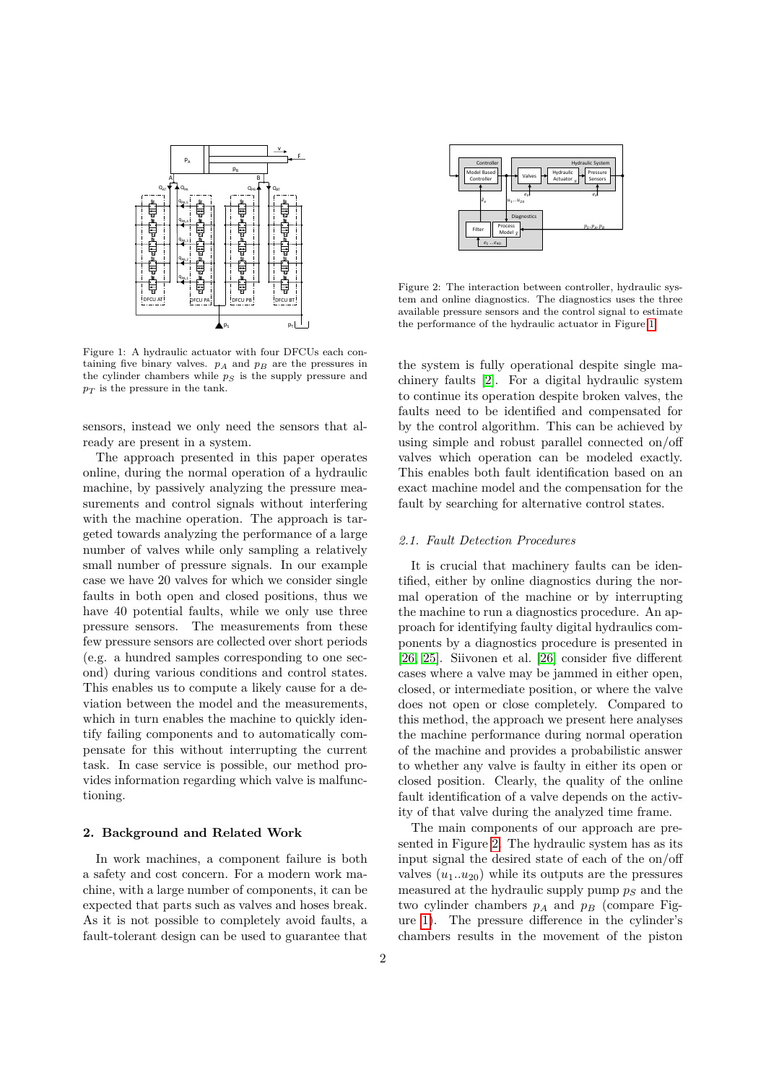

<span id="page-1-0"></span>Figure 1: A hydraulic actuator with four DFCUs each containing five binary valves.  $p_A$  and  $p_B$  are the pressures in the cylinder chambers while  $p<sub>S</sub>$  is the supply pressure and *p<sup>T</sup>* is the pressure in the tank.

sensors, instead we only need the sensors that already are present in a system.

The approach presented in this paper operates online, during the normal operation of a hydraulic machine, by passively analyzing the pressure measurements and control signals without interfering with the machine operation. The approach is targeted towards analyzing the performance of a large number of valves while only sampling a relatively small number of pressure signals. In our example case we have 20 valves for which we consider single faults in both open and closed positions, thus we have 40 potential faults, while we only use three pressure sensors. The measurements from these few pressure sensors are collected over short periods (e.g. a hundred samples corresponding to one second) during various conditions and control states. This enables us to compute a likely cause for a deviation between the model and the measurements, which in turn enables the machine to quickly identify failing components and to automatically compensate for this without interrupting the current task. In case service is possible, our method provides information regarding which valve is malfunctioning.

# **2. Background and Related Work**

In work machines, a component failure is both a safety and cost concern. For a modern work machine, with a large number of components, it can be expected that parts such as valves and hoses break. As it is not possible to completely avoid faults, a fault-tolerant design can be used to guarantee that



<span id="page-1-1"></span>Figure 2: The interaction between controller, hydraulic system and online diagnostics. The diagnostics uses the three available pressure sensors and the control signal to estimate the performance of the hydraulic actuator in Figure [1.](#page-1-0)

the system is fully operational despite single machinery faults [\[2\]](#page-7-0). For a digital hydraulic system to continue its operation despite broken valves, the faults need to be identified and compensated for by the control algorithm. This can be achieved by using simple and robust parallel connected on/off valves which operation can be modeled exactly. This enables both fault identification based on an exact machine model and the compensation for the fault by searching for alternative control states.

## *2.1. Fault Detection Procedures*

It is crucial that machinery faults can be identified, either by online diagnostics during the normal operation of the machine or by interrupting the machine to run a diagnostics procedure. An approach for identifying faulty digital hydraulics components by a diagnostics procedure is presented in [\[26,](#page-8-3) [25\]](#page-8-4). Siivonen et al. [\[26\]](#page-8-3) consider five different cases where a valve may be jammed in either open, closed, or intermediate position, or where the valve does not open or close completely. Compared to this method, the approach we present here analyses the machine performance during normal operation of the machine and provides a probabilistic answer to whether any valve is faulty in either its open or closed position. Clearly, the quality of the online fault identification of a valve depends on the activity of that valve during the analyzed time frame.

The main components of our approach are presented in Figure [2.](#page-1-1) The hydraulic system has as its input signal the desired state of each of the on/off valves  $(u_1...u_{20})$  while its outputs are the pressures measured at the hydraulic supply pump *p<sup>S</sup>* and the two cylinder chambers  $p_A$  and  $p_B$  (compare Figure [1\)](#page-1-0). The pressure difference in the cylinder's chambers results in the movement of the piston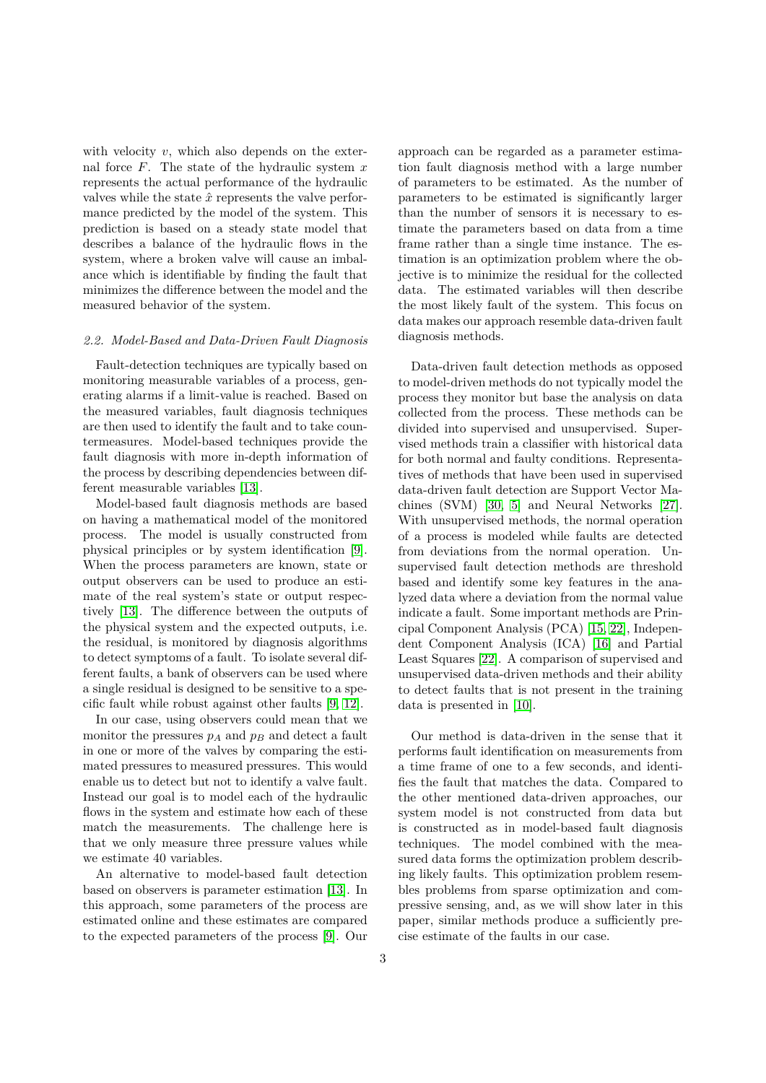with velocity *v*, which also depends on the external force *F*. The state of the hydraulic system *x* represents the actual performance of the hydraulic valves while the state  $\hat{x}$  represents the valve performance predicted by the model of the system. This prediction is based on a steady state model that describes a balance of the hydraulic flows in the system, where a broken valve will cause an imbalance which is identifiable by finding the fault that minimizes the difference between the model and the measured behavior of the system.

# *2.2. Model-Based and Data-Driven Fault Diagnosis*

Fault-detection techniques are typically based on monitoring measurable variables of a process, generating alarms if a limit-value is reached. Based on the measured variables, fault diagnosis techniques are then used to identify the fault and to take countermeasures. Model-based techniques provide the fault diagnosis with more in-depth information of the process by describing dependencies between different measurable variables [\[13\]](#page-8-5).

Model-based fault diagnosis methods are based on having a mathematical model of the monitored process. The model is usually constructed from physical principles or by system identification [\[9\]](#page-8-6). When the process parameters are known, state or output observers can be used to produce an estimate of the real system's state or output respectively [\[13\]](#page-8-5). The difference between the outputs of the physical system and the expected outputs, i.e. the residual, is monitored by diagnosis algorithms to detect symptoms of a fault. To isolate several different faults, a bank of observers can be used where a single residual is designed to be sensitive to a specific fault while robust against other faults [\[9,](#page-8-6) [12\]](#page-8-7).

In our case, using observers could mean that we monitor the pressures  $p_A$  and  $p_B$  and detect a fault in one or more of the valves by comparing the estimated pressures to measured pressures. This would enable us to detect but not to identify a valve fault. Instead our goal is to model each of the hydraulic flows in the system and estimate how each of these match the measurements. The challenge here is that we only measure three pressure values while we estimate 40 variables.

An alternative to model-based fault detection based on observers is parameter estimation [\[13\]](#page-8-5). In this approach, some parameters of the process are estimated online and these estimates are compared to the expected parameters of the process [\[9\]](#page-8-6). Our

approach can be regarded as a parameter estimation fault diagnosis method with a large number of parameters to be estimated. As the number of parameters to be estimated is significantly larger than the number of sensors it is necessary to estimate the parameters based on data from a time frame rather than a single time instance. The estimation is an optimization problem where the objective is to minimize the residual for the collected data. The estimated variables will then describe the most likely fault of the system. This focus on data makes our approach resemble data-driven fault diagnosis methods.

Data-driven fault detection methods as opposed to model-driven methods do not typically model the process they monitor but base the analysis on data collected from the process. These methods can be divided into supervised and unsupervised. Supervised methods train a classifier with historical data for both normal and faulty conditions. Representatives of methods that have been used in supervised data-driven fault detection are Support Vector Machines (SVM) [\[30,](#page-8-8) [5\]](#page-7-1) and Neural Networks [\[27\]](#page-8-9). With unsupervised methods, the normal operation of a process is modeled while faults are detected from deviations from the normal operation. Unsupervised fault detection methods are threshold based and identify some key features in the analyzed data where a deviation from the normal value indicate a fault. Some important methods are Principal Component Analysis (PCA) [\[15,](#page-8-10) [22\]](#page-8-11), Independent Component Analysis (ICA) [\[16\]](#page-8-12) and Partial Least Squares [\[22\]](#page-8-11). A comparison of supervised and unsupervised data-driven methods and their ability to detect faults that is not present in the training data is presented in [\[10\]](#page-8-13).

Our method is data-driven in the sense that it performs fault identification on measurements from a time frame of one to a few seconds, and identifies the fault that matches the data. Compared to the other mentioned data-driven approaches, our system model is not constructed from data but is constructed as in model-based fault diagnosis techniques. The model combined with the measured data forms the optimization problem describing likely faults. This optimization problem resembles problems from sparse optimization and compressive sensing, and, as we will show later in this paper, similar methods produce a sufficiently precise estimate of the faults in our case.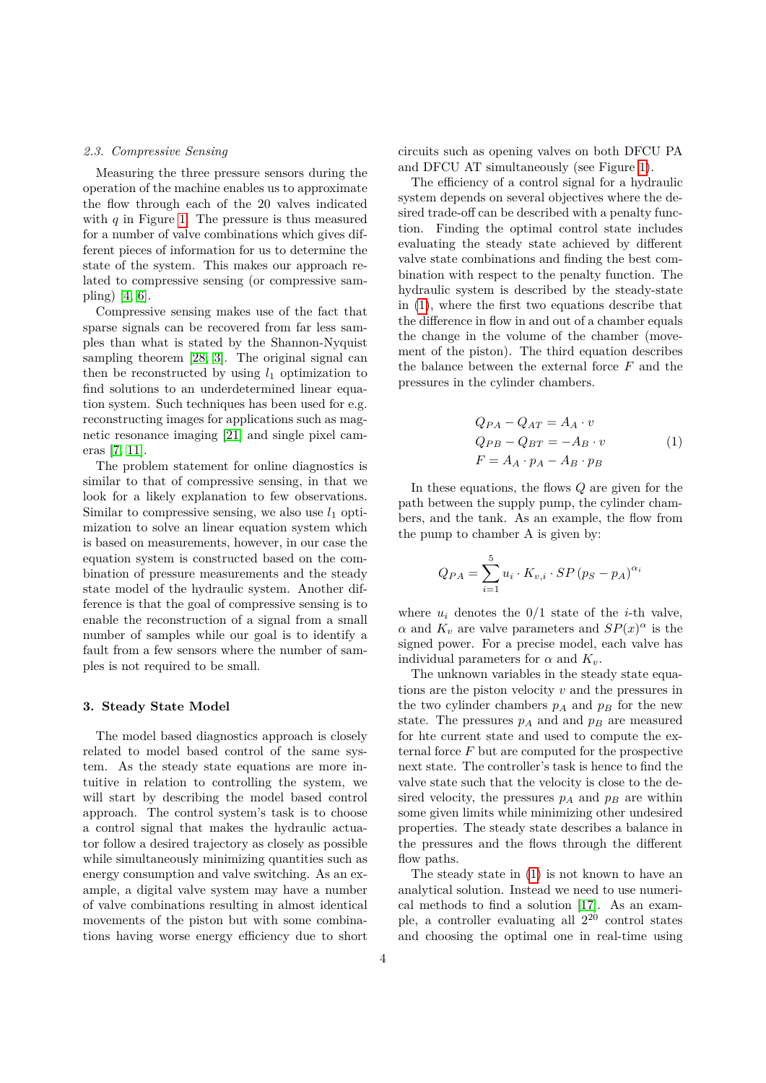## *2.3. Compressive Sensing*

Measuring the three pressure sensors during the operation of the machine enables us to approximate the flow through each of the 20 valves indicated with *q* in Figure [1.](#page-1-0) The pressure is thus measured for a number of valve combinations which gives different pieces of information for us to determine the state of the system. This makes our approach related to compressive sensing (or compressive sampling) [\[4,](#page-7-2) [6\]](#page-7-3).

Compressive sensing makes use of the fact that sparse signals can be recovered from far less samples than what is stated by the Shannon-Nyquist sampling theorem [\[28,](#page-8-14) [3\]](#page-7-4). The original signal can then be reconstructed by using  $l_1$  optimization to find solutions to an underdetermined linear equation system. Such techniques has been used for e.g. reconstructing images for applications such as magnetic resonance imaging [\[21\]](#page-8-15) and single pixel cameras [\[7,](#page-8-16) [11\]](#page-8-17).

The problem statement for online diagnostics is similar to that of compressive sensing, in that we look for a likely explanation to few observations. Similar to compressive sensing, we also use  $l_1$  optimization to solve an linear equation system which is based on measurements, however, in our case the equation system is constructed based on the combination of pressure measurements and the steady state model of the hydraulic system. Another difference is that the goal of compressive sensing is to enable the reconstruction of a signal from a small number of samples while our goal is to identify a fault from a few sensors where the number of samples is not required to be small.

#### **3. Steady State Model**

The model based diagnostics approach is closely related to model based control of the same system. As the steady state equations are more intuitive in relation to controlling the system, we will start by describing the model based control approach. The control system's task is to choose a control signal that makes the hydraulic actuator follow a desired trajectory as closely as possible while simultaneously minimizing quantities such as energy consumption and valve switching. As an example, a digital valve system may have a number of valve combinations resulting in almost identical movements of the piston but with some combinations having worse energy efficiency due to short circuits such as opening valves on both DFCU PA and DFCU AT simultaneously (see Figure [1\)](#page-1-0).

The efficiency of a control signal for a hydraulic system depends on several objectives where the desired trade-off can be described with a penalty function. Finding the optimal control state includes evaluating the steady state achieved by different valve state combinations and finding the best combination with respect to the penalty function. The hydraulic system is described by the steady-state in [\(1\)](#page-3-0), where the first two equations describe that the difference in flow in and out of a chamber equals the change in the volume of the chamber (movement of the piston). The third equation describes the balance between the external force *F* and the pressures in the cylinder chambers.

<span id="page-3-0"></span>
$$
Q_{PA} - Q_{AT} = A_A \cdot v
$$
  
\n
$$
Q_{PB} - Q_{BT} = -A_B \cdot v
$$
  
\n
$$
F = A_A \cdot p_A - A_B \cdot p_B
$$
\n(1)

In these equations, the flows *Q* are given for the path between the supply pump, the cylinder chambers, and the tank. As an example, the flow from the pump to chamber A is given by:

$$
Q_{PA} = \sum_{i=1}^{5} u_i \cdot K_{v,i} \cdot SP(p_S - p_A)^{\alpha_i}
$$

where  $u_i$  denotes the  $0/1$  state of the *i*-th valve, *α* and  $K_v$  are valve parameters and  $SP(x)^\alpha$  is the signed power. For a precise model, each valve has individual parameters for  $\alpha$  and  $K_v$ .

The unknown variables in the steady state equations are the piston velocity *v* and the pressures in the two cylinder chambers  $p_A$  and  $p_B$  for the new state. The pressures  $p_A$  and and  $p_B$  are measured for hte current state and used to compute the external force *F* but are computed for the prospective next state. The controller's task is hence to find the valve state such that the velocity is close to the desired velocity, the pressures  $p_A$  and  $p_B$  are within some given limits while minimizing other undesired properties. The steady state describes a balance in the pressures and the flows through the different flow paths.

The steady state in [\(1\)](#page-3-0) is not known to have an analytical solution. Instead we need to use numerical methods to find a solution [\[17\]](#page-8-18). As an example, a controller evaluating all  $2^{20}$  control states and choosing the optimal one in real-time using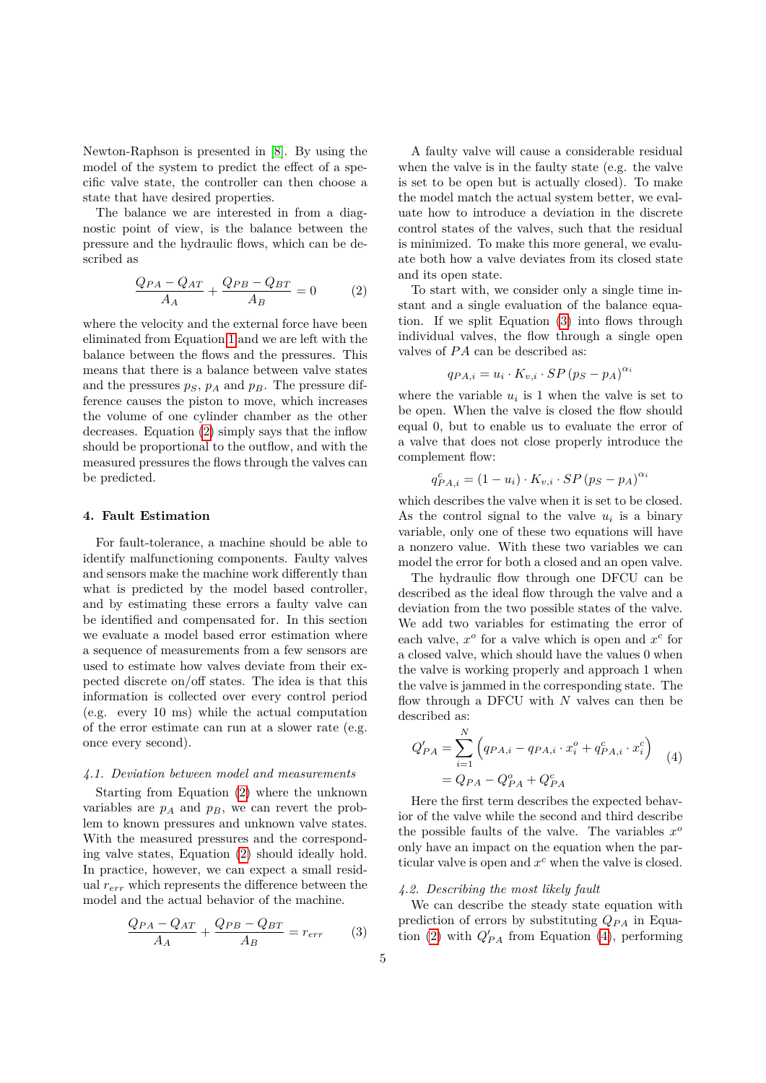Newton-Raphson is presented in [\[8\]](#page-8-1). By using the model of the system to predict the effect of a specific valve state, the controller can then choose a state that have desired properties.

The balance we are interested in from a diagnostic point of view, is the balance between the pressure and the hydraulic flows, which can be described as

<span id="page-4-0"></span>
$$
\frac{Q_{PA} - Q_{AT}}{A_A} + \frac{Q_{PB} - Q_{BT}}{A_B} = 0
$$
 (2)

where the velocity and the external force have been eliminated from Equation [1](#page-3-0) and we are left with the balance between the flows and the pressures. This means that there is a balance between valve states and the pressures  $p_S$ ,  $p_A$  and  $p_B$ . The pressure difference causes the piston to move, which increases the volume of one cylinder chamber as the other decreases. Equation [\(2\)](#page-4-0) simply says that the inflow should be proportional to the outflow, and with the measured pressures the flows through the valves can be predicted.

## **4. Fault Estimation**

For fault-tolerance, a machine should be able to identify malfunctioning components. Faulty valves and sensors make the machine work differently than what is predicted by the model based controller, and by estimating these errors a faulty valve can be identified and compensated for. In this section we evaluate a model based error estimation where a sequence of measurements from a few sensors are used to estimate how valves deviate from their expected discrete on/off states. The idea is that this information is collected over every control period (e.g. every 10 ms) while the actual computation of the error estimate can run at a slower rate (e.g. once every second).

# *4.1. Deviation between model and measurements*

Starting from Equation [\(2\)](#page-4-0) where the unknown variables are  $p_A$  and  $p_B$ , we can revert the problem to known pressures and unknown valve states. With the measured pressures and the corresponding valve states, Equation [\(2\)](#page-4-0) should ideally hold. In practice, however, we can expect a small residual *rerr* which represents the difference between the model and the actual behavior of the machine.

$$
\frac{Q_{PA} - Q_{AT}}{A_A} + \frac{Q_{PB} - Q_{BT}}{A_B} = r_{err}
$$
 (3)

A faulty valve will cause a considerable residual when the valve is in the faulty state (e.g. the valve is set to be open but is actually closed). To make the model match the actual system better, we evaluate how to introduce a deviation in the discrete control states of the valves, such that the residual is minimized. To make this more general, we evaluate both how a valve deviates from its closed state and its open state.

To start with, we consider only a single time instant and a single evaluation of the balance equation. If we split Equation [\(3\)](#page-4-1) into flows through individual valves, the flow through a single open valves of  $PA$  can be described as:

$$
q_{PA,i} = u_i \cdot K_{v,i} \cdot SP(p_S - p_A)^{\alpha_i}
$$

where the variable  $u_i$  is 1 when the valve is set to be open. When the valve is closed the flow should equal 0, but to enable us to evaluate the error of a valve that does not close properly introduce the complement flow:

$$
q_{PA,i}^{c} = (1 - u_i) \cdot K_{v,i} \cdot SP(p_S - p_A)^{\alpha_i}
$$

which describes the valve when it is set to be closed. As the control signal to the valve  $u_i$  is a binary variable, only one of these two equations will have a nonzero value. With these two variables we can model the error for both a closed and an open valve.

The hydraulic flow through one DFCU can be described as the ideal flow through the valve and a deviation from the two possible states of the valve. We add two variables for estimating the error of each valve,  $x^o$  for a valve which is open and  $x^c$  for a closed valve, which should have the values 0 when the valve is working properly and approach 1 when the valve is jammed in the corresponding state. The flow through a DFCU with *N* valves can then be described as:

<span id="page-4-2"></span>
$$
Q'_{PA} = \sum_{i=1}^{N} \left( q_{PA,i} - q_{PA,i} \cdot x_i^o + q_{PA,i}^c \cdot x_i^c \right) \tag{4}
$$

$$
= Q_{PA} - Q_{PA}^o + Q_{PA}^c
$$

Here the first term describes the expected behavior of the valve while the second and third describe the possible faults of the valve. The variables  $x^c$ only have an impact on the equation when the particular valve is open and *x <sup>c</sup>* when the valve is closed.

## <span id="page-4-1"></span>*4.2. Describing the most likely fault*

We can describe the steady state equation with prediction of errors by substituting *QP A* in Equa-tion [\(2\)](#page-4-0) with  $Q'_{PA}$  from Equation [\(4\)](#page-4-2), performing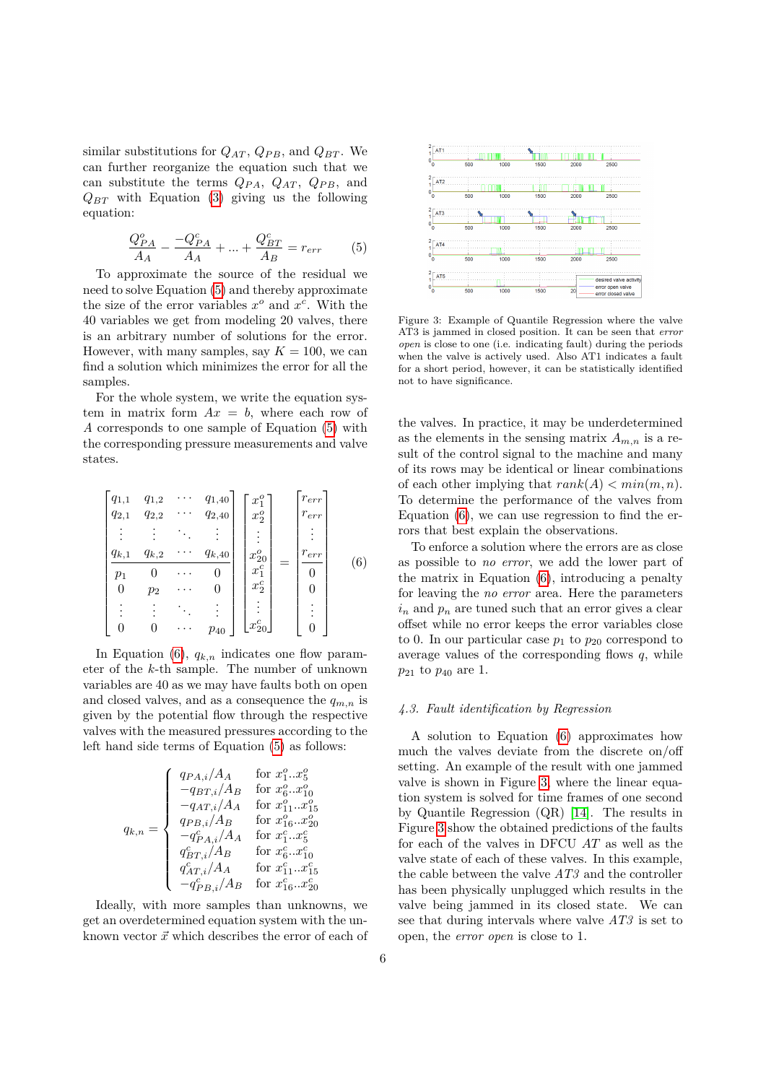similar substitutions for  $Q_{AT}$ ,  $Q_{PB}$ , and  $Q_{BT}$ . We can further reorganize the equation such that we can substitute the terms *QP A*, *QAT* , *QP B*, and  $Q_{BT}$  with Equation [\(3\)](#page-4-1) giving us the following equation:

<span id="page-5-0"></span>
$$
\frac{Q_{PA}^{o}}{A_{A}} - \frac{-Q_{PA}^{c}}{A_{A}} + \dots + \frac{Q_{BT}^{c}}{A_{B}} = r_{err}
$$
 (5)

To approximate the source of the residual we need to solve Equation [\(5\)](#page-5-0) and thereby approximate the size of the error variables  $x^o$  and  $x^c$ . With the 40 variables we get from modeling 20 valves, there is an arbitrary number of solutions for the error. However, with many samples, say  $K = 100$ , we can find a solution which minimizes the error for all the samples.

For the whole system, we write the equation system in matrix form  $Ax = b$ , where each row of *A* corresponds to one sample of Equation [\(5\)](#page-5-0) with the corresponding pressure measurements and valve states.

<span id="page-5-1"></span>
$$
\begin{bmatrix}\nq_{1,1} & q_{1,2} & \cdots & q_{1,40} \\
q_{2,1} & q_{2,2} & \cdots & q_{2,40} \\
\vdots & \vdots & \ddots & \vdots \\
q_{k,1} & q_{k,2} & \cdots & q_{k,40} \\
p_1 & 0 & \cdots & 0 \\
0 & p_2 & \cdots & 0 \\
\vdots & \vdots & \ddots & \vdots \\
0 & 0 & \cdots & p_{40}\n\end{bmatrix}\n\begin{bmatrix}\nx_1^o \\
x_2^o \\
\vdots \\
x_2^o \\
x_1^c \\
\vdots \\
x_2^c \\
\vdots \\
x_2^c\n\end{bmatrix} = \n\begin{bmatrix}\nr_{err} \\
r_{err} \\
\vdots \\
r_{err} \\
0 \\
0 \\
\vdots \\
0\n\end{bmatrix}
$$
\n(6)

In Equation  $(6)$ ,  $q_{k,n}$  indicates one flow parameter of the *k*-th sample. The number of unknown variables are 40 as we may have faults both on open and closed valves, and as a consequence the  $q_{m,n}$  is given by the potential flow through the respective valves with the measured pressures according to the left hand side terms of Equation [\(5\)](#page-5-0) as follows:

$$
q_{k,n} = \left\{ \begin{array}{ll} q_{PA,i}/A_A & \text{for } x_1^o...x_9^o \\ -q_{BT,i}/A_B & \text{for } x_6^o...x_{10}^o \\ -q_{AT,i}/A_A & \text{for } x_{11}^o...x_{15}^o \\ q_{PB,i}/A_B & \text{for } x_{16}^o...x_{20}^o \\ -q_{PA,i}^c/A_A & \text{for } x_1^c...x_5^c \\ q_{BT,i}^c/A_B & \text{for } x_6^c...x_{10}^c \\ q_{AT,i}/A_A & \text{for } x_{11}^c...x_{15}^c \\ -q_{PB,i}^c/A_B & \text{for } x_{16}^c...x_{20}^c \end{array} \right.
$$

Ideally, with more samples than unknowns, we get an overdetermined equation system with the unknown vector  $\vec{x}$  which describes the error of each of



<span id="page-5-2"></span>Figure 3: Example of Quantile Regression where the valve AT3 is jammed in closed position. It can be seen that *error open* is close to one (i.e. indicating fault) during the periods when the valve is actively used. Also AT1 indicates a fault for a short period, however, it can be statistically identified not to have significance.

the valves. In practice, it may be underdetermined as the elements in the sensing matrix  $A_{m,n}$  is a result of the control signal to the machine and many of its rows may be identical or linear combinations of each other implying that  $rank(A) < min(m, n)$ . To determine the performance of the valves from Equation [\(6\)](#page-5-1), we can use regression to find the errors that best explain the observations.

To enforce a solution where the errors are as close as possible to *no error*, we add the lower part of the matrix in Equation [\(6\)](#page-5-1), introducing a penalty for leaving the *no error* area. Here the parameters  $i_n$  and  $p_n$  are tuned such that an error gives a clear offset while no error keeps the error variables close to 0. In our particular case  $p_1$  to  $p_{20}$  correspond to average values of the corresponding flows *q*, while *p*<sup>21</sup> to *p*<sup>40</sup> are 1.

# *4.3. Fault identification by Regression*

A solution to Equation [\(6\)](#page-5-1) approximates how much the valves deviate from the discrete on/off setting. An example of the result with one jammed valve is shown in Figure [3,](#page-5-2) where the linear equation system is solved for time frames of one second by Quantile Regression (QR) [\[14\]](#page-8-19). The results in Figure [3](#page-5-2) show the obtained predictions of the faults for each of the valves in DFCU *AT* as well as the valve state of each of these valves. In this example, the cable between the valve *AT3* and the controller has been physically unplugged which results in the valve being jammed in its closed state. We can see that during intervals where valve *AT3* is set to open, the *error open* is close to 1.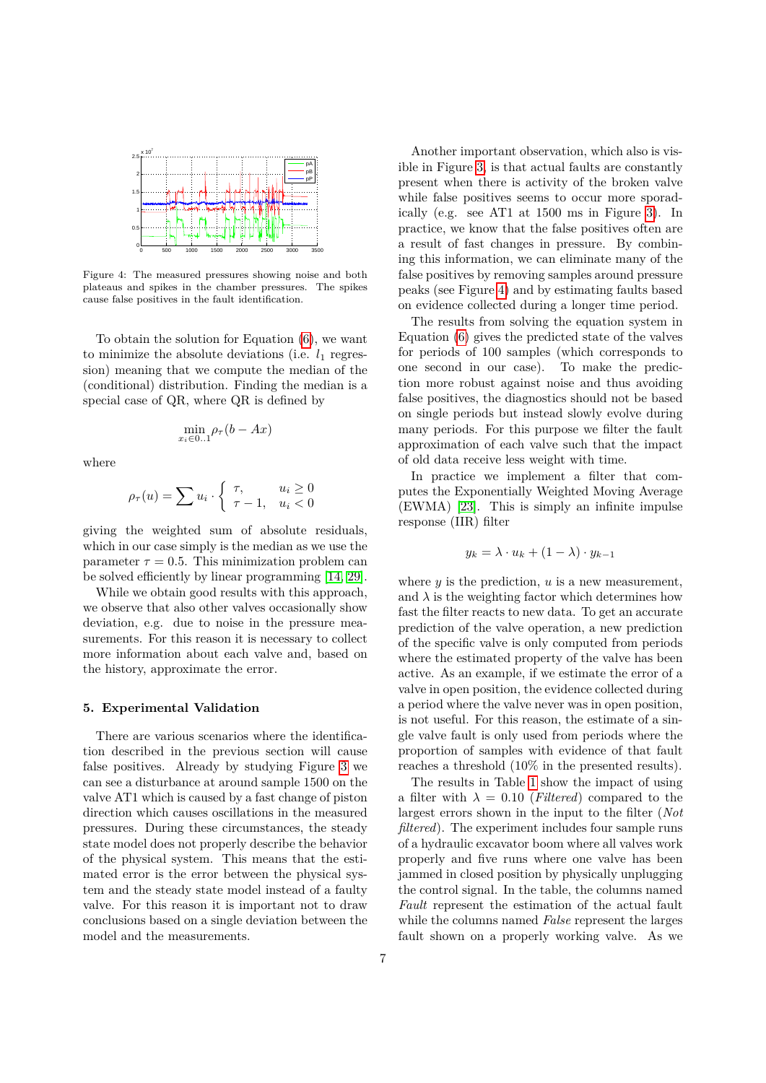

<span id="page-6-0"></span>Figure 4: The measured pressures showing noise and both plateaus and spikes in the chamber pressures. The spikes cause false positives in the fault identification.

To obtain the solution for Equation [\(6\)](#page-5-1), we want to minimize the absolute deviations (i.e.  $l_1$  regression) meaning that we compute the median of the (conditional) distribution. Finding the median is a special case of QR, where QR is defined by

$$
\min_{x_i \in 0..1} \rho_\tau(b - Ax)
$$

where

$$
\rho_{\tau}(u) = \sum u_i \cdot \begin{cases} \tau, & u_i \ge 0 \\ \tau - 1, & u_i < 0 \end{cases}
$$

giving the weighted sum of absolute residuals, which in our case simply is the median as we use the parameter  $\tau = 0.5$ . This minimization problem can be solved efficiently by linear programming [\[14,](#page-8-19) [29\]](#page-8-20).

While we obtain good results with this approach, we observe that also other valves occasionally show deviation, e.g. due to noise in the pressure measurements. For this reason it is necessary to collect more information about each valve and, based on the history, approximate the error.

## **5. Experimental Validation**

There are various scenarios where the identification described in the previous section will cause false positives. Already by studying Figure [3](#page-5-2) we can see a disturbance at around sample 1500 on the valve AT1 which is caused by a fast change of piston direction which causes oscillations in the measured pressures. During these circumstances, the steady state model does not properly describe the behavior of the physical system. This means that the estimated error is the error between the physical system and the steady state model instead of a faulty valve. For this reason it is important not to draw conclusions based on a single deviation between the model and the measurements.

Another important observation, which also is visible in Figure [3,](#page-5-2) is that actual faults are constantly present when there is activity of the broken valve while false positives seems to occur more sporadically (e.g. see AT1 at 1500 ms in Figure [3\)](#page-5-2). In practice, we know that the false positives often are a result of fast changes in pressure. By combining this information, we can eliminate many of the false positives by removing samples around pressure peaks (see Figure [4\)](#page-6-0) and by estimating faults based on evidence collected during a longer time period.

The results from solving the equation system in Equation [\(6\)](#page-5-1) gives the predicted state of the valves for periods of 100 samples (which corresponds to one second in our case). To make the prediction more robust against noise and thus avoiding false positives, the diagnostics should not be based on single periods but instead slowly evolve during many periods. For this purpose we filter the fault approximation of each valve such that the impact of old data receive less weight with time.

In practice we implement a filter that computes the Exponentially Weighted Moving Average (EWMA) [\[23\]](#page-8-21). This is simply an infinite impulse response (IIR) filter

$$
y_k = \lambda \cdot u_k + (1 - \lambda) \cdot y_{k-1}
$$

where  $y$  is the prediction,  $u$  is a new measurement, and  $\lambda$  is the weighting factor which determines how fast the filter reacts to new data. To get an accurate prediction of the valve operation, a new prediction of the specific valve is only computed from periods where the estimated property of the valve has been active. As an example, if we estimate the error of a valve in open position, the evidence collected during a period where the valve never was in open position, is not useful. For this reason, the estimate of a single valve fault is only used from periods where the proportion of samples with evidence of that fault reaches a threshold (10% in the presented results).

The results in Table [1](#page-7-5) show the impact of using a filter with  $\lambda = 0.10$  (*Filtered*) compared to the largest errors shown in the input to the filter (*Not filtered*). The experiment includes four sample runs of a hydraulic excavator boom where all valves work properly and five runs where one valve has been jammed in closed position by physically unplugging the control signal. In the table, the columns named *Fault* represent the estimation of the actual fault while the columns named *False* represent the larges fault shown on a properly working valve. As we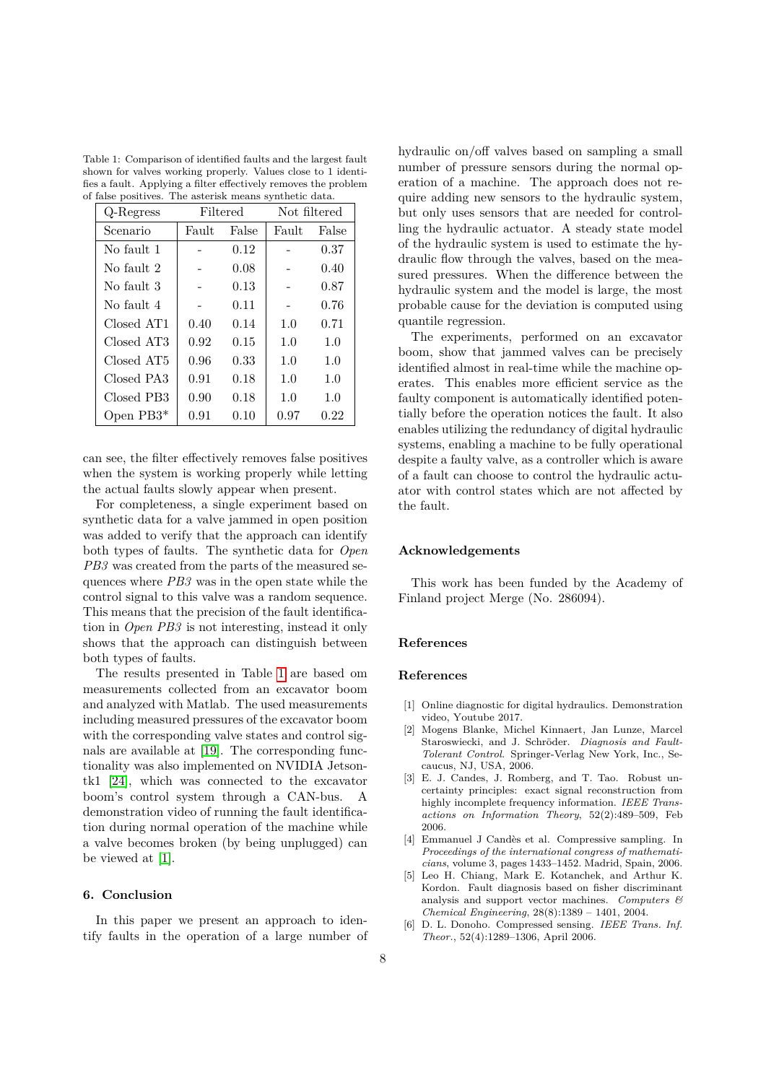<span id="page-7-5"></span>Table 1: Comparison of identified faults and the largest fault shown for valves working properly. Values close to 1 identifies a fault. Applying a filter effectively removes the problem of false positives. The asterisk means synthetic data.

| Q-Regress  | Filtered |       | Not filtered |          |
|------------|----------|-------|--------------|----------|
| Scenario   | Fault    | False | Fault        | False    |
| No fault 1 |          | 0.12  |              | 0.37     |
| No fault 2 |          | 0.08  |              | 0.40     |
| No fault 3 |          | 0.13  |              | 0.87     |
| No fault 4 |          | 0.11  |              | 0.76     |
| Closed AT1 | 0.40     | 0.14  | 1.0          | 0.71     |
| Closed AT3 | 0.92     | 0.15  | 1.0          | 1.0      |
| Closed AT5 | 0.96     | 0.33  | 1.0          | 1.0      |
| Closed PA3 | 0.91     | 0.18  | 1.0          | 1.0      |
| Closed PB3 | 0.90     | 0.18  | 1.0          | 1.0      |
| Open PB3*  | 0.91     | 0.10  | 0.97         | $0.22\,$ |

can see, the filter effectively removes false positives when the system is working properly while letting the actual faults slowly appear when present.

For completeness, a single experiment based on synthetic data for a valve jammed in open position was added to verify that the approach can identify both types of faults. The synthetic data for *Open PB3* was created from the parts of the measured sequences where *PB3* was in the open state while the control signal to this valve was a random sequence. This means that the precision of the fault identification in *Open PB3* is not interesting, instead it only shows that the approach can distinguish between both types of faults.

The results presented in Table [1](#page-7-5) are based om measurements collected from an excavator boom and analyzed with Matlab. The used measurements including measured pressures of the excavator boom with the corresponding valve states and control signals are available at [\[19\]](#page-8-22). The corresponding functionality was also implemented on NVIDIA Jetsontk1 [\[24\]](#page-8-23), which was connected to the excavator boom's control system through a CAN-bus. A demonstration video of running the fault identification during normal operation of the machine while a valve becomes broken (by being unplugged) can be viewed at [\[1\]](#page-7-6).

# **6. Conclusion**

In this paper we present an approach to identify faults in the operation of a large number of hydraulic on/off valves based on sampling a small number of pressure sensors during the normal operation of a machine. The approach does not require adding new sensors to the hydraulic system, but only uses sensors that are needed for controlling the hydraulic actuator. A steady state model of the hydraulic system is used to estimate the hydraulic flow through the valves, based on the measured pressures. When the difference between the hydraulic system and the model is large, the most probable cause for the deviation is computed using quantile regression.

The experiments, performed on an excavator boom, show that jammed valves can be precisely identified almost in real-time while the machine operates. This enables more efficient service as the faulty component is automatically identified potentially before the operation notices the fault. It also enables utilizing the redundancy of digital hydraulic systems, enabling a machine to be fully operational despite a faulty valve, as a controller which is aware of a fault can choose to control the hydraulic actuator with control states which are not affected by the fault.

### **Acknowledgements**

This work has been funded by the Academy of Finland project Merge (No. 286094).

# **References**

## **References**

- <span id="page-7-6"></span>[1] Online diagnostic for digital hydraulics. Demonstration video, Youtube 2017.
- <span id="page-7-0"></span>[2] Mogens Blanke, Michel Kinnaert, Jan Lunze, Marcel Staroswiecki, and J. Schröder. *Diagnosis and Fault-Tolerant Control*. Springer-Verlag New York, Inc., Secaucus, NJ, USA, 2006.
- <span id="page-7-4"></span>[3] E. J. Candes, J. Romberg, and T. Tao. Robust uncertainty principles: exact signal reconstruction from highly incomplete frequency information. *IEEE Transactions on Information Theory*, 52(2):489–509, Feb 2006.
- <span id="page-7-2"></span>[4] Emmanuel J Candès et al. Compressive sampling. In *Proceedings of the international congress of mathematicians*, volume 3, pages 1433–1452. Madrid, Spain, 2006.
- <span id="page-7-1"></span>[5] Leo H. Chiang, Mark E. Kotanchek, and Arthur K. Kordon. Fault diagnosis based on fisher discriminant analysis and support vector machines. *Computers & Chemical Engineering*, 28(8):1389 – 1401, 2004.
- <span id="page-7-3"></span>[6] D. L. Donoho. Compressed sensing. *IEEE Trans. Inf. Theor.*, 52(4):1289–1306, April 2006.